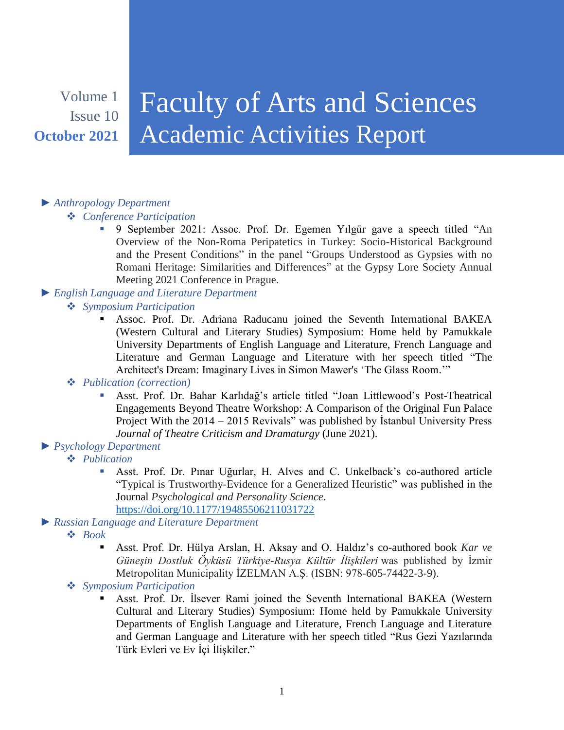## Volume 1 Issue 10 **October 2021**

# Faculty of Arts and Sciences Academic Activities Report

### *► Anthropology Department*

#### *Conference Participation*

- 9 September 2021: Assoc. Prof. Dr. Egemen Yılgür gave a speech titled "An Overview of the Non-Roma Peripatetics in Turkey: Socio-Historical Background and the Present Conditions" in the panel "Groups Understood as Gypsies with no Romani Heritage: Similarities and Differences" at the Gypsy Lore Society Annual Meeting 2021 Conference in Prague.
- *► English Language and Literature Department*
	- *Symposium Participation*
		- Assoc. Prof. Dr. Adriana Raducanu joined the Seventh International BAKEA (Western Cultural and Literary Studies) Symposium: Home held by Pamukkale University Departments of English Language and Literature, French Language and Literature and German Language and Literature with her speech titled "The Architect's Dream: Imaginary Lives in Simon Mawer's 'The Glass Room.'"

#### *Publication (correction)*

- Asst. Prof. Dr. Bahar Karlıdağ's article titled "Joan Littlewood's Post-Theatrical Engagements Beyond Theatre Workshop: A Comparison of the Original Fun Palace Project With the 2014 – 2015 Revivals" was published by İstanbul University Press *Journal of Theatre Criticism and Dramaturgy* (June 2021).
- *► Psychology Department*
	- *Publication*
		- Asst. Prof. Dr. Pınar Uğurlar, H. Alves and C. Unkelback's co-authored article "Typical is Trustworthy-Evidence for a Generalized Heuristic" was published in the Journal *Psychological and Personality Science*. <https://doi.org/10.1177/19485506211031722>
- *► Russian Language and Literature Department*
	- *Book*
		- Asst. Prof. Dr. Hülya Arslan, H. Aksay and O. Haldız's co-authored book *Kar ve Güneşin Dostluk Öyküsü Türkiye-Rusya Kültür İlişkileri* was published by İzmir Metropolitan Municipality İZELMAN A.Ş. (ISBN: 978-605-74422-3-9).
	- *Symposium Participation*
		- Asst. Prof. Dr. İlsever Rami joined the Seventh International BAKEA (Western Cultural and Literary Studies) Symposium: Home held by Pamukkale University Departments of English Language and Literature, French Language and Literature and German Language and Literature with her speech titled "Rus Gezi Yazılarında Türk Evleri ve Ev İçi İlişkiler."